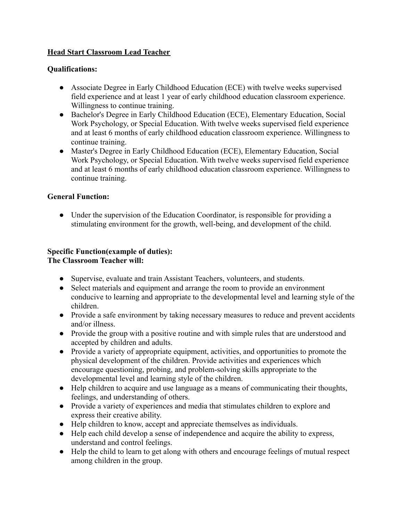# **Head Start Classroom Lead Teacher**

#### **Qualifications:**

- Associate Degree in Early Childhood Education (ECE) with twelve weeks supervised field experience and at least 1 year of early childhood education classroom experience. Willingness to continue training.
- Bachelor's Degree in Early Childhood Education (ECE), Elementary Education, Social Work Psychology, or Special Education. With twelve weeks supervised field experience and at least 6 months of early childhood education classroom experience. Willingness to continue training.
- Master's Degree in Early Childhood Education (ECE), Elementary Education, Social Work Psychology, or Special Education. With twelve weeks supervised field experience and at least 6 months of early childhood education classroom experience. Willingness to continue training.

## **General Function:**

• Under the supervision of the Education Coordinator, is responsible for providing a stimulating environment for the growth, well-being, and development of the child.

## **Specific Function(example of duties): The Classroom Teacher will:**

- Supervise, evaluate and train Assistant Teachers, volunteers, and students.
- Select materials and equipment and arrange the room to provide an environment conducive to learning and appropriate to the developmental level and learning style of the children.
- Provide a safe environment by taking necessary measures to reduce and prevent accidents and/or illness.
- Provide the group with a positive routine and with simple rules that are understood and accepted by children and adults.
- Provide a variety of appropriate equipment, activities, and opportunities to promote the physical development of the children. Provide activities and experiences which encourage questioning, probing, and problem-solving skills appropriate to the developmental level and learning style of the children.
- Help children to acquire and use language as a means of communicating their thoughts, feelings, and understanding of others.
- Provide a variety of experiences and media that stimulates children to explore and express their creative ability.
- Help children to know, accept and appreciate themselves as individuals.
- Help each child develop a sense of independence and acquire the ability to express, understand and control feelings.
- Help the child to learn to get along with others and encourage feelings of mutual respect among children in the group.